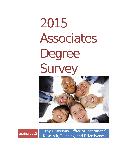# 2015 Associates Degree Survey



Spring 2015 Troy University Office of Institutional Research, Planning, and Effectiveness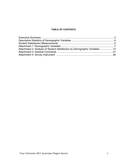## **TABLE OF CONTENTS**

| Attachment 2: Analysis of Student Satisfaction by Demographic Variables 13 |  |
|----------------------------------------------------------------------------|--|
|                                                                            |  |
|                                                                            |  |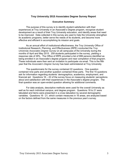## **Troy University 2015 Associates Degree Survey Report**

#### **Executive Summary**

The purpose of this survey is to identify student satisfaction with their experiences at Troy University in an Associate's Degree program, recognize student development as a result of their Troy University education, and identify areas that need to be improved. Data collected in this survey are used to help the University strengthen its academic programs, better serve the needs of its students, and become more effective and efficient in accomplishing its mission and goals.

 As an annual effort of institutional effectiveness, the Troy University Office of Institutional Research, Planning, and Effectiveness (IRPE) conducted the *Troy University Associates Degree Survey* on all campuses of the University during the months of April and May 2015. 259 students participated in the survey, yielding a response rate of 29%. The Office of IRPE provided a list of 899 persons identified as being enrolled in an Associate's degree program and near completion of that program. These individuals were then sent an invitation to participate via email. This is the fifth year that the *Associate's Degree Survey* has been administered at Troy University.

 The questionnaire for the survey contained 22 questions. One question contained nine parts and another question contained three parts. The first 15 questions ask for information regarding students' demographics, academics, employment, and financial aid. Questions 16 – 22 of the survey focus on measuring students' perceptions about and satisfaction with their experiences in the Associate's degree program. The final question was an open-ended question allowing for additional comments.

 For data analysis, descriptive methods were used for the overall University as well as for each individual campus, and degree program. Questions 18 to 21 were tabulated and items were presented in a cross tabulation by several demographic variables. Questions 16 - 21, which contain measures in 16 areas, are analyzed based on the factors defined from the same measures in the previous year's survey.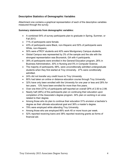## **Descriptive Statistics of Demographic Variables**

Attachment one contains a graphical representation of each of the descriptive variables measured through the survey.

## **Summary statements from demographic variables:**

- A combined 54% of survey participants plan to graduate in Spring, Summer, or Fall 2013.
- 71% of participants were female.
- 43% of participants were Black, non-Hispanic and 50% of participants were White, non-Hispanic.
- 50% were eTROY students and 40% were Montgomery Campus students.
- Global Campus was represented by 3% of the sample and the site with the strongest representation was Brunswick, GA with 4 participants.
- 39% of participants were enrolled in the General Education program, 26% in Business Administration, 30% in Nursing and 5% in Computer Science.
- The majority of participants, 68%, were unconditionally admitted undergraduate students when they first started at Troy University. 27% were conditionally admitted.
- 24% did not transfer any credit hours to Troy University.
- 80% had taken an online or distance education course through Troy University.
- 32% have only been enrolled with the University for one year or less and 28% for two years. 13% have been enrolled for more than five years.
- Over one third (37%) of participants self-reported an overall GPA of 2.50 to 2.99.
- Nearly half (48%) of the participants plan on continuing their education upon completion of the Associate's degree program. 34% plan on working in an area related to their degree.
- Among those who do plan to continue their education 51% envision a bachelor's degree as their ultimate educational goal and 36% a master's degree.
- 79% were employed while attending Troy University.
- Among those who are employed 66% work 40 or more hours per week.
- 52% reported receiving loans and 38% reported receiving grants as forms of financial aid.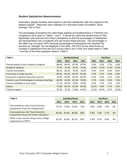## **Student Satisfaction Measurements**

Associate's degree students were asked to rate their satisfaction with nine aspects of the degree program. Reponses were collected on a five-point scale of Excellent, Good, Average, Fair or Poor.

The percentage of students who rated these aspects as Excellent/Good or Fair/Poor are compared to prior years in Tables 1 and 2. It should be noted that student input of "Not Applicable" was removed from these calculations so that the percentages of satisfaction are representative only of students who did receive these services. The percentages in this table may not equal 100% because percentages of participants who reported the services as "average" are not displayed in the table. The 2015 survey data shows an increase in satisfaction from the 2013 survey data in four of the nine areas listed in Table 1 and two of the three questions listed in Table 2.

| Table 1                                           | <b>Excellent/Good</b> |       |       | <b>Fair/Poor</b> |  |       |       |       |       |
|---------------------------------------------------|-----------------------|-------|-------|------------------|--|-------|-------|-------|-------|
|                                                   | 2015                  | 2013  | 2012  | 2011             |  | 2015  | 2013  | 2012  | 2011  |
| Overall quality of your academic program          | 88.0%                 | 88.3% | 87.9% | 87.0%            |  | 4.4%  | 2.6%  | 2.7%  | 3.0%  |
| <b>Academic advising</b>                          | 77.2%                 | 74.3% | 76.5% | 70.0%            |  | 12.0% | 11.9% | 11.0% | 12.0% |
| Faculty accessibility                             | 80.5%                 | 80.3% | 78.4% | 76.0%            |  | 5.8%  | 8.5%  | 9.3%  | 8.0%  |
| Instruction in major courses                      | 80.4%                 | 83.2% | 84.3% | 81.0%            |  | 4.1%  | 4.7%  | 5.9%  | 6.0%  |
| Instruction in general education courses          | 78.0%                 | 83.0% | 83.5% | 82.0%            |  | 4.5%  | 4.6%  | 5.1%  | 4.0%  |
| Faculty's use of technologies to enhance teaching | 83.0%                 | 81.8% | 82.4% | 79.0%            |  | 5.7%  | 5.6%  | 5.9%  | 7.0%  |
| Course availability in your major                 | 77.1%                 | 84.5% | 79.8% | 78.0%            |  | 9.4%  | 7.1%  | 7.5%  | 7.0%  |
| Library                                           | 77.8%                 | 83.7% | 81.0% | 83.0%            |  | 10.1% | 4.6%  | 5.7%  | 5.0%  |
| Tutorial support                                  | 70.1%                 | 72.3% | 73.8% | 67.0%            |  | 13.2% | 10.4% | 9.7%  | 13.0% |

| Table 2                                                                           | <b>Excellent/Good</b> |             |       | <b>Fair/Poor</b> |      |      |      |      |
|-----------------------------------------------------------------------------------|-----------------------|-------------|-------|------------------|------|------|------|------|
|                                                                                   | 2015                  | 2013        | 2012  | 2011             | 2015 | 2013 | 2012 | 2011 |
| How would you rate Troy University's<br>preparation of you for employment?        | 74.7%                 | 73.0% 73.4% |       | 75%              | 9.8% | 8.8% | 7.9% | 6%   |
| How would you rate Troy University's<br>preparation of you for further education? | 82.6%                 | 82.4%       | 80.6% | 80%              | 5.8% | 7.8% | 5.7% | 4%   |
| What is your overall rating of your college<br>experiences at TROY?               | 82.2%                 | 82.8%       | 83.1% | 81%              | 5.4% | 8.7% | 6.0% | 4%   |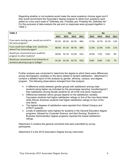Regarding whether or not students would make the same academic choices again and if they would recommend the Associate's degree program to others four questions were asked on a four point scale of "Definitely yes, Probably yes, Probably No, Definitely No" For the purposes of data analysis the yes and no responses were grouped together in Table 3.

| Table 3                                                                      | <b>Yes</b> |             |       | <b>No</b> |  |       |       |       |      |
|------------------------------------------------------------------------------|------------|-------------|-------|-----------|--|-------|-------|-------|------|
|                                                                              | 2015       | 2013        | 2012  | 2011      |  | 2015  | 2013  | 2012  | 2011 |
| If you were starting over, would you enroll in<br>the same program?          | 82.5%      | 80.3% 83.3% |       | 86%       |  | 17.5% | 19.7% | 16.7% | 13%  |
| If you could start college over, would you<br>attend Troy University again?  | 88.0%      | 87.1%       | 90.7% | 88%       |  | 12.0% | 12.9% | 9.3%  | 11%  |
| Would you recommend your academic<br>program to other students?              | 90.0%      | 92.1%       | 91.0% | 91%       |  | 10.0% | 7.9%  | 9.0%  | 8%   |
| Would you recommend Troy University to<br>someone planning to go to college? | 91.2%      | 91.2%       | 92.7% | 92%       |  | 8.8%  | 8.8%  | 7.3%  | 7%   |

Further analysis was conducted to determine the degree to which there were differences across demographic variables on the items related to student satisfaction. Attachment 2 contains a detailed report of this analysis by gender, ethnicity, campus, and degree program. The following observations emerged from that analysis:

- A difference exists between gender groups with satisfaction among male students being higher (as indicated by the percentage reporting "excellent/good") than satisfaction among female students for all of the nine items measured.
- Differences between ethnic groups depend on the satisfaction variable; Caucasian students had higher satisfaction ratings on five of the nine items listed while African American students had higher satisfaction ratings on four of the nine items.
- The highest degrees of satisfaction were reported from Global Campus and eTROY students.
- Levels of satisfaction were highest for students in the General Education degree programs, followed by Computer Science, and then Nursing. Students in Business Administration degree programs reported the lowest satisfaction ratings.

Attachment 3 contains the general comments that were submitted by survey participants.

Attachment 4 is the 2015 Associate's Degree Survey instrument.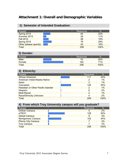# **Attachment 1: Overall and Demographic Variables**

## **1) Semester of Intended Graduation:**

| Answer                 | Response | $\frac{1}{2}$ |
|------------------------|----------|---------------|
| Spring 2015            | 64       | 25%           |
| Summer 2015            | 28       | 11%           |
| <b>Fall 2015</b>       | 48       | 19%           |
| Spring 2016            | 76       | 29%           |
| Other (please specify) | 42       | 16%           |
| <b>Total</b>           | 258      | 100%          |

## **2) Gender:**

| Answer       | Response | $\%$ |
|--------------|----------|------|
| <b>Male</b>  | 76       | 29%  |
| Female       | 182      | 71%  |
| <b>Total</b> | 258      | 100% |

## **3) Ethnicity:**

| %<br>Response<br>Answer                       |  |
|-----------------------------------------------|--|
| 43%<br><b>African American</b><br>111         |  |
| 1%<br>American Indian/Alaska Native<br>2      |  |
| 1%<br>Asian<br>3                              |  |
| Caucasian<br>50%<br>129                       |  |
| 1%<br>Hawaiian or Other Pacific Islander<br>2 |  |
| 2%<br>Hispanic<br>6                           |  |
| <b>Multi-Racial</b><br>$1\%$<br>2             |  |
| 2%<br>Race/Ethnicity Unknown<br>4             |  |
| 100%<br><b>Total</b><br>259                   |  |

## **4) From which Troy University campus will you graduate?**

| Answer                    | Response | $\frac{1}{2}$ |
|---------------------------|----------|---------------|
| <b>Dothan Campus</b>      | 5        | 2%            |
| eTROY                     | 128      | 50%           |
| <b>Global Campus</b>      | 9        | 3%            |
| <b>Montgomery Campus</b>  | 102      | 40%           |
| <b>Phenix City Campus</b> |          | 3%            |
| <b>Troy Campus</b>        |          | 3%            |
| <b>Total</b>              | 258      | 100%          |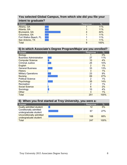# **You selected Global Campus, from which site did you file your intent to graduate?**

| Answer                | Response | $\%$ |
|-----------------------|----------|------|
| Albany, GA            |          | 11%  |
| Atlanta, GA           |          | 11%  |
| Brunswick, GA         |          | 44%  |
| Columbus, GA          |          | 11%  |
| Fort Walton Beach, FL |          | 11%  |
| San Antonio, TX       |          | 11%  |
| <b>Total</b>          | 9        | 100% |

| Answer                         | Response       | $\%$  |
|--------------------------------|----------------|-------|
| <b>Biology</b>                 |                | 0%    |
| <b>Business Administration</b> | 27             | 11%   |
| <b>Computer Science</b>        | 10             | 4%    |
| <b>Criminal Justice</b>        | 25             | 10%   |
| English                        | $\overline{2}$ | $1\%$ |
| <b>General Business</b>        | 33             | 13%   |
| <b>History</b>                 | 3              | $1\%$ |
| <b>Military Operations</b>     | 23             | 9%    |
| <b>Nursing</b>                 | 69             | 27%   |
| <b>Political Science</b>       | 2              | $1\%$ |
| Psychology                     | 35             | 14%   |
| Recreation                     | 2              | $1\%$ |
| <b>Social Science</b>          | 6              | 2%    |
| Sociology                      | 10             | 4%    |
| Other                          | 3              | $1\%$ |
| <b>Total</b>                   | 251            | 100%  |

| 6) When you first started at Troy University, you were a: |  |          |      |  |  |  |
|-----------------------------------------------------------|--|----------|------|--|--|--|
| Answer                                                    |  | Response | $\%$ |  |  |  |
| Dually-admitted student                                   |  | 12       | 5%   |  |  |  |
| Conditionally admitted<br>undergraduate student           |  | 67       | 27%  |  |  |  |
| Unconditionally admitted<br>undergraduate student         |  | 168      | 68%  |  |  |  |
| Total                                                     |  | 247      | 100% |  |  |  |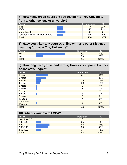# **7) How many credit hours did you transfer to Troy University from another college or university?**

| Answer                               | Response | $\%$ |
|--------------------------------------|----------|------|
| $1 - 15$                             | 57       | 22%  |
| $16 - 30$                            | 55       | 21%  |
| More than 30                         | 83       | 32%  |
| I did not transfer any credit hours. | 61       | 24%  |
| Total                                | 256      | 100% |

# **8) Have you taken any courses online or in any other Distance Learning format at Troy University?**

| Answer       | Response | 07<br>70 |
|--------------|----------|----------|
| Yes          | 203      | 80%      |
| No           | 50       | 20%      |
| <b>Total</b> | 253      | 100%     |

## **9) How long have you attended Troy University in pursuit of this Associate's Degree?**

| Answer               | Response        | %     |
|----------------------|-----------------|-------|
| 1 year               | 81              | 32%   |
| 2 years              | 71              | 28%   |
| 3 years              | 36              | 14%   |
| 4 years              | 30              | 12%   |
| 5 years              | 9               | 4%    |
| 6 years              | 7               | 3%    |
| 7 years              | 3               | 1%    |
| 8 years              | 5               | 2%    |
| 9 years              | $\mathbf 0$     | $0\%$ |
| 10 years             | 4               | 2%    |
| More than<br>10years | $6\phantom{1}6$ | 2%    |
| <b>Total</b>         | 252             | 100%  |

| 10) What is your overall GPA? |  |          |      |  |  |  |
|-------------------------------|--|----------|------|--|--|--|
| Answer                        |  | Response | %    |  |  |  |
| Less than 2.0                 |  | 3        | 1%   |  |  |  |
| 2.00-2.49                     |  | 35       | 14%  |  |  |  |
| 2.50-2.99                     |  | 95       | 37%  |  |  |  |
| 3.00-3.49                     |  | 85       | 33%  |  |  |  |
| $3.50 - 4.00$                 |  | 37       | 15%  |  |  |  |
| <b>Total</b>                  |  | 255      | 100% |  |  |  |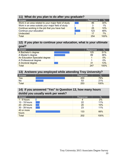## **11) What do you plan to do after you graduate?**

| Answer                                               | Response | $\frac{0}{0}$ |
|------------------------------------------------------|----------|---------------|
| Work in an area related to your major field of study | 86       | 34%           |
| Work in an area outside your major field of study    |          | 1%            |
| Continue working in the job that you have had        | 25       | 10%           |
| Continue your education                              | 123      | 48%           |
| <b>Undecided</b>                                     | 17       | 7%            |
| <b>Total</b>                                         | 254      | 100%          |

## **12) If you plan to continue your education, what is your ultimate goal?**

| Answer                         | Response | $\frac{0}{0}$ |
|--------------------------------|----------|---------------|
| A Bachelor's degree            | 125      | 51%           |
| A Master's degree              | 89       | 36%           |
| An Education Specialist degree |          | 0%            |
| A Professional degree          |          | 0%            |
| A Doctoral degree              | 31       | 13%           |
| <b>Total</b>                   | 247      | 100%          |

| 13) Are/were you employed while attending Troy University? |  |  |          |               |
|------------------------------------------------------------|--|--|----------|---------------|
| Answer                                                     |  |  | Response | $\frac{1}{2}$ |
| Yes                                                        |  |  | 200      | 79%           |
| No                                                         |  |  | 53       | 21%           |
| <b>Total</b>                                               |  |  | 253      | 100%          |

# **14) If you answered "Yes" to Question 13, how many hours do/did you usually work per week?**

| Answer        | Response       | %    |
|---------------|----------------|------|
| $1 - 9$ hours | $\overline{4}$ | 2%   |
| 10 - 19 hours | 22             | 11%  |
| 20 - 29 hours | 20             | 10%  |
| 30 - 39 hours | 23             | 11%  |
| 40 or more    | 133            | 66%  |
| hours         |                |      |
| Total         | 202            | 100% |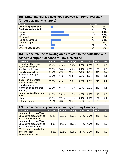## **15) What financial aid have you received at Troy University? (Choose as many as apply)**

| %<br>Response<br>Answer<br>7%<br>Scholarship/fellowship<br>18<br>Graduate assistantship<br>0%<br>0<br>38%<br>Grants<br>97<br>52%<br>133<br>Loans<br>2%<br>Work study<br>4<br><b>Tuition assistance</b><br>30%<br>75<br>3%<br>Third party pay<br>8<br>11%<br>27<br>None<br>Other (please specify)<br>9%<br>24 | - | . . |  |
|--------------------------------------------------------------------------------------------------------------------------------------------------------------------------------------------------------------------------------------------------------------------------------------------------------------|---|-----|--|
|                                                                                                                                                                                                                                                                                                              |   |     |  |
|                                                                                                                                                                                                                                                                                                              |   |     |  |
|                                                                                                                                                                                                                                                                                                              |   |     |  |
|                                                                                                                                                                                                                                                                                                              |   |     |  |
|                                                                                                                                                                                                                                                                                                              |   |     |  |
|                                                                                                                                                                                                                                                                                                              |   |     |  |
|                                                                                                                                                                                                                                                                                                              |   |     |  |
|                                                                                                                                                                                                                                                                                                              |   |     |  |
|                                                                                                                                                                                                                                                                                                              |   |     |  |
|                                                                                                                                                                                                                                                                                                              |   |     |  |

# **16) Please rate the following areas related to the education and academic support services at Troy University:**

| Question                                                | Excellent | Good  | Average | Fair | Poor | Total | Mean |
|---------------------------------------------------------|-----------|-------|---------|------|------|-------|------|
| Overall quality of your<br>academic program             | 45.4%     | 42.6% | 7.6%    | 2.8% | 1.6% | 251   | 4.3  |
| Academic advising                                       | 38.8%     | 38.4% | 10.8%   | 7.2% | 4.8% | 250   | 4.0  |
| <b>Faculty accessibility</b>                            | 44.0%     | 36.5% | 13.7%   | 4.1% | 1.7% | 241   | 4.2  |
| Instruction in major<br>courses                         | 39.2%     | 41.2% | 15.5%   | 2.9% | 1.2% | 245   | 4.1  |
| Instruction in general<br>education courses             | 36.3%     | 41.6% | 17.6%   | 2.9% | 1.6% | 245   | 4.1  |
| Faculty's use of<br>technologies to enhance<br>teaching | 37.2%     | 45.7% | 11.3%   | 2.4% | 3.2% | 247   | 4.1  |
| Course availability in your<br>major                    | 41.6%     | 35.5% | 13.5%   | 4.5% | 4.9% | 245   | 4.0  |
| Library                                                 | 40.6%     | 37.2% | 12.1%   | 7.2% | 2.9% | 207   | 4.1  |
| <b>Tutorial support</b>                                 | 31.6%     | 38.5% | 16.7%   | 6.3% | 6.9% | 174   | 3.8  |

## **17) Please provide your overall ratings of Troy University:**

| Question                                                                             | <b>Excellent</b> | Good  | Average | Fair | Poor | Total | Mean |
|--------------------------------------------------------------------------------------|------------------|-------|---------|------|------|-------|------|
| How would you rate Troy<br>University's preparation of<br>you for employment?        | 35.1%            | 39.6% | 15.5%   | 6.1% | 3.7% | 245   | 4.0  |
| How would you rate Troy<br>University's preparation of<br>you for further education? | 41.3%            | 41.3% | 11.6%   | 4.1% | 1.7% | 242   | 4.2  |
| What is your overall rating<br>of your college<br>experiences at TROY?               | 44.6%            | 37.6% | 12.4%   | 2.5% | 2.9% | 242   | 4.2  |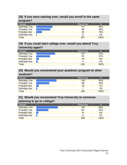# **18) If you were starting over, would you enroll in the same program?**

| Answer                | Response | %    |
|-----------------------|----------|------|
| <b>Definitely Yes</b> | 111      | 44%  |
| <b>Probably Yes</b>   | 96       | 38%  |
| <b>Probably Not</b>   | 39       | 16%  |
| Definitely Not        | 5        | 2%   |
| <b>Total</b>          | 251      | 100% |

# **19) If you could start college over, would you attend Troy University again?**

| Answer                | Response | %    |
|-----------------------|----------|------|
| <b>Definitely Yes</b> | 127      | 51%  |
| <b>Probably Yes</b>   | 93       | 37%  |
| <b>Probably Not</b>   | 19       | 8%   |
| Definitely Not        |          | 4%   |
| <b>Total</b>          | 250      | 100% |

## **20) Would you recommend your academic program to other students?**

| Answer                | Response | $\%$ |
|-----------------------|----------|------|
| <b>Definitely Yes</b> | 136      | 55%  |
| <b>Probably Yes</b>   | 88       | 35%  |
| <b>Probably Not</b>   | 18       | 7%   |
| Definitely Not        |          | 3%   |
| <b>Total</b>          | 249      | 100% |

# **21) Would you recommend Troy University to someone planning to go to college?**

| Answer                | Response | %    |
|-----------------------|----------|------|
| <b>Definitely Yes</b> | 145      | 58%  |
| <b>Probably Yes</b>   | 82       | 33%  |
| <b>Probably Not</b>   | 14       | 6%   |
| Definitely Not        |          | 3%   |
| Total                 | 249      | 100% |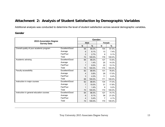# **Attachment 2: Analysis of Student Satisfaction by Demographic Variables**

Additional analysis was conducted to determine the level of student satisfaction across several demographic variables**.** 

## **Gender**

|                                              | Gender:        |             |        |               |        |  |  |  |
|----------------------------------------------|----------------|-------------|--------|---------------|--------|--|--|--|
| 2015 Associates Degree<br><b>Survey Data</b> |                | <b>Male</b> |        | <b>Female</b> |        |  |  |  |
|                                              |                | N           | $\%$   | N             | %      |  |  |  |
| Overall quality of your academic program     | Excellent/Good | 66          | 89.2%  | 154           | 87.5%  |  |  |  |
|                                              | Average        | 6           | 8.1%   | 13            | 7.4%   |  |  |  |
|                                              | Fair/Poor      | 2           | 2.7%   | 9             | 5.1%   |  |  |  |
|                                              | Total          | 74          | 100.0% | 176           | 100.0% |  |  |  |
| Academic advising                            | Excellent/Good | 66          | 89.2%  | 127           | 72.6%  |  |  |  |
|                                              | Average        | 1           | 1.4%   | 25            | 14.3%  |  |  |  |
|                                              | Fair/Poor      | 7           | 9.5%   | 23            | 13.1%  |  |  |  |
|                                              | Total          | 74          | 100.0% | 175           | 100.0% |  |  |  |
| Faculty accessibility                        | Excellent/Good | 62          | 89.9%  | 131           | 76.6%  |  |  |  |
|                                              | Average        | 4           | 5.8%   | 29            | 17.0%  |  |  |  |
|                                              | Fair/Poor      | 3           | 4.3%   | 11            | 6.4%   |  |  |  |
|                                              | Total          | 69          | 100.0% | 171           | 100.0% |  |  |  |
| Instruction in major courses                 | Excellent/Good | 62          | 88.6%  | 134           | 77.0%  |  |  |  |
|                                              | Average        | 7           | 10.0%  | 31            | 17.8%  |  |  |  |
|                                              | Fair/Poor      | 1           | 1.4%   | 9             | 5.2%   |  |  |  |
|                                              | Total          | 70          | 100.0% | 174           | 100.0% |  |  |  |
| Instruction in general education courses     | Excellent/Good | 64          | 86.5%  | 127           | 74.7%  |  |  |  |
|                                              | Average        | 6           | 8.1%   | 36            | 21.2%  |  |  |  |
|                                              | Fair/Poor      | 4           | 5.4%   | 7             | 4.1%   |  |  |  |
|                                              | Total          | 74          | 100.0% | 170           | 100.0% |  |  |  |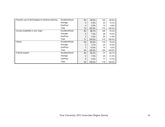| Faculty's use of technologies to enhance teaching | Excellent/Good | 65 | 89.0%   | 140 | 80.9%   |
|---------------------------------------------------|----------------|----|---------|-----|---------|
|                                                   | Average        | 4  | 5.5%    | 23  | 13.3%   |
|                                                   | Fair/Poor      | 4  | 5.5%    | 10  | 5.8%    |
|                                                   | Total          | 73 | 100.0%  | 173 | 100.0%  |
| Course availability in your major                 | Excellent/Good | 63 | 88.7%   | 125 | 72.3%   |
|                                                   | Average        | 5  | $7.0\%$ | 28  | 16.2%   |
|                                                   | Fair/Poor      | 3  | 4.2%    | 20  | 11.6%   |
|                                                   | Total          | 71 | 100.0%  | 173 | 100.0%  |
| Library                                           | Excellent/Good | 45 | 83.3%   | 116 | 76.3%   |
|                                                   | Average        | 2  | 3.7%    | 22  | 14.5%   |
|                                                   | Fair/Poor      | 7  | 13.0%   | 14  | $9.2\%$ |
|                                                   | Total          | 54 | 100.0%  | 152 | 100.0%  |
| <b>Tutorial support</b>                           | Excellent/Good | 45 | 83.3%   | 77  | 64.7%   |
|                                                   | Average        | 4  | $7.4\%$ | 25  | 21.0%   |
|                                                   | Fair/Poor      | 5  | 9.3%    | 17  | 14.3%   |
|                                                   | Total          | 54 | 100.0%  | 119 | 100.0%  |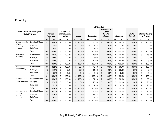# **Ethnicity**

|                      |                                              | <b>Ethnicity:</b>                 |        |                                                   |        |                |        |     |           |                |                                                                         |                         |                 |                |                         |                                         |         |
|----------------------|----------------------------------------------|-----------------------------------|--------|---------------------------------------------------|--------|----------------|--------|-----|-----------|----------------|-------------------------------------------------------------------------|-------------------------|-----------------|----------------|-------------------------|-----------------------------------------|---------|
|                      | 2015 Associates Degree<br><b>Survey Data</b> | <b>African</b><br><b>American</b> |        | <b>American</b><br>Indian/Alaska<br><b>Native</b> |        | Asian          |        |     | Caucasian |                | <b>Hawaiian or</b><br><b>Other</b><br><b>Pacific</b><br><b>Islander</b> |                         | <b>Hispanic</b> |                | Multi-<br><b>Racial</b> | <b>Race/Ethnicity</b><br><b>Unknown</b> |         |
|                      |                                              | N                                 | %      | N                                                 | %      | N              | %      | N   | %         | N              | %                                                                       | N                       | %               | N              | %                       | N                                       | %       |
| Overall quality      | Excellent/Good                               | 97                                | 89.8%  | $\overline{2}$                                    | 100.0% | 3              | 100.0% | 107 | 86.3%     | $\overline{2}$ | 100.0%                                                                  | $\overline{\mathbf{4}}$ | 66.7%           | $\overline{2}$ | 100.0%                  | 4                                       | 100.0%  |
| of your<br>academic  | Average                                      | 8                                 | 7.4%   | $\mathbf{0}$                                      | 0.0%   | $\Omega$       | 0.0%   | 9   | 7.3%      | 0              | 0.0%                                                                    | $\overline{2}$          | 33.3%           | 0              | $0.0\%$                 | 0                                       | $0.0\%$ |
| program              | Fair/Poor                                    | 3                                 | 2.8%   | 0                                                 | 0.0%   | $\mathbf 0$    | 0.0%   | 8   | 6.5%      | 0              | 0.0%                                                                    | $\Omega$                | 0.0%            | 0              | 0.0%                    | 0                                       | 0.0%    |
|                      | Total                                        | 108                               | 100.0% | $\overline{c}$                                    | 100.0% | 3              | 100.0% | 124 | 100.0%    | 2              | 100.0%                                                                  | 6                       | 100.0%          | 2              | 100.0%                  | 4                                       | 100.0%  |
| Academic             | Excellent/Good                               | 80                                | 74.1%  | $\overline{2}$                                    | 100.0% | 3              | 100.0% | 97  | 78.9%     | $\overline{2}$ | 100.0%                                                                  | 4                       | 66.7%           | $\overline{2}$ | 100.0%                  | 3                                       | 75.0%   |
| advising             | Average                                      | 15                                | 13.9%  | 0                                                 | 0.0%   | $\mathbf 0$    | 0.0%   | 11  | 8.9%      | 0              | 0.0%                                                                    | $\mathbf{1}$            | 16.7%           | $\mathbf{0}$   | 0.0%                    | 0                                       | 0.0%    |
|                      | Fair/Poor                                    | 13                                | 12.0%  | 0                                                 | 0.0%   | 0              | 0.0%   | 15  | 12.2%     | 0              | 0.0%                                                                    | 1                       | 16.7%           | 0              | $0.0\%$                 | $\mathbf{1}$                            | 25.0%   |
|                      | Total                                        | 108                               | 100.0% | $\overline{2}$                                    | 100.0% | 3              | 100.0% | 123 | 100.0%    | 2              | 100.0%                                                                  | 6                       | 100.0%          | $\overline{2}$ | 100.0%                  | 4                                       | 100.0%  |
| Faculty              | Excellent/Good                               | 83                                | 82.2%  | $\overline{2}$                                    | 100.0% | $\overline{2}$ | 66.7%  | 96  | 78.7%     | $\overline{2}$ | 100.0%                                                                  | 4                       | 66.7%           | $\overline{2}$ | 100.0%                  | 3                                       | 100.0%  |
| accessibility        | Average                                      | 12                                | 11.9%  | 0                                                 | 0.0%   | $\mathbf 1$    | 33.3%  | 18  | 14.8%     | 0              | 0.0%                                                                    | $\overline{2}$          | 33.3%           | 0              | 0.0%                    | 0                                       | 0.0%    |
|                      | Fair/Poor                                    | 6                                 | 5.9%   | 0                                                 | 0.0%   | $\mathbf 0$    | 0.0%   | 8   | 6.6%      | 0              | 0.0%                                                                    | $\Omega$                | 0.0%            | 0              | 0.0%                    | 0                                       | 0.0%    |
|                      | Total                                        | 101                               | 100.0% | $\overline{c}$                                    | 100.0% | 3              | 100.0% | 122 | 100.0%    | 2              | 100.0%                                                                  | 6                       | 100.0%          | $\overline{2}$ | 100.0%                  | 3                                       | 100.0%  |
| Instruction in       | Excellent/Good                               | 84                                | 80.8%  | $\overline{2}$                                    | 100.0% | 3              | 100.0% | 99  | 81.1%     | $\overline{2}$ | 100.0%                                                                  | 3                       | 50.0%           | $\overline{2}$ | 100.0%                  | 2                                       | 50.0%   |
| major courses        | Average                                      | 18                                | 17.3%  | 0                                                 | 0.0%   | $\mathbf 0$    | 0.0%   | 17  | 13.9%     | 0              | 0.0%                                                                    | $\overline{2}$          | 33.3%           | 0              | 0.0%                    | 1                                       | 25.0%   |
|                      | Fair/Poor                                    | $\overline{2}$                    | 1.9%   | 0                                                 | 0.0%   | $\Omega$       | 0.0%   | 6   | 4.9%      | 0              | 0.0%                                                                    | 1                       | 16.7%           | 0              | 0.0%                    | 1                                       | 25.0%   |
|                      | Total                                        | 104                               | 100.0% | $\overline{2}$                                    | 100.0% | 3              | 100.0% | 122 | 100.0%    | 2              | 100.0%                                                                  | 6                       | 100.0%          | $\overline{2}$ | 100.0%                  | 4                                       | 100.0%  |
| Instruction in       | Excellent/Good                               | 85                                | 80.2%  | $\overline{2}$                                    | 100.0% | 3              | 100.0% | 91  | 75.8%     | $\overline{2}$ | 100.0%                                                                  | 3                       | 50.0%           | $\overline{2}$ | 100.0%                  | 3                                       | 75.0%   |
| general<br>education | Average                                      | 18                                | 17.0%  | $\mathbf{0}$                                      | 0.0%   | $\Omega$       | 0.0%   | 22  | 18.3%     | 0              | 0.0%                                                                    | $\overline{2}$          | 33.3%           | 0              | 0.0%                    | $\mathbf 1$                             | 25.0%   |
| courses              | Fair/Poor                                    | 3                                 | 2.8%   | 0                                                 | 0.0%   | $\mathbf 0$    | 0.0%   | 7   | 5.8%      | 0              | 0.0%                                                                    | $\mathbf{1}$            | 16.7%           | 0              | 0.0%                    | 0                                       | 0.0%    |
|                      | Total                                        | 106                               | 100.0% | $\overline{2}$                                    | 100.0% | 3              | 100.0% | 120 | 100.0%    | $\overline{2}$ | 100.0%                                                                  | 6                       | 100.0%          | $\overline{2}$ | 100.0%                  | 4                                       | 100.0%  |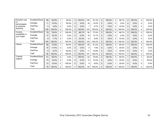| Faculty's use                 | Excellent/Good | 89  | 84.8%  |                | 50.0%   | 3              | 100.0%  | 100 | 81.3%  | $\overline{2}$ | 100.0%  | 4              | 66.7%   | $\overline{2}$ | 100.0%  | 4              | 100.0%  |
|-------------------------------|----------------|-----|--------|----------------|---------|----------------|---------|-----|--------|----------------|---------|----------------|---------|----------------|---------|----------------|---------|
| οf<br>technologies            | Average        | 11  | 10.5%  |                | 50.0%   | $\Omega$       | $0.0\%$ | 16  | 13.0%  | 0              | $0.0\%$ | $\Omega$       | $0.0\%$ | $\Omega$       | $0.0\%$ | $\Omega$       | 0.0%    |
| to enhance                    | Fair/Poor      | 5   | 4.8%   | 0              | $0.0\%$ | $\Omega$       | 0.0%    | 7   | 5.7%   | 0              | 0.0%    | $\overline{2}$ | 33.3%   | 0              | $0.0\%$ | $\Omega$       | $0.0\%$ |
| teaching                      | Total          | 105 | 100.0% | 2              | 100.0%  | 3              | 100.0%  | 123 | 100.0% | $\overline{2}$ | 100.0%  | 6              | 100.0%  | $\overline{2}$ | 100.0%  | 4              | 100.0%  |
| Course                        | Excellent/Good | 79  | 76.0%  | $\overline{2}$ | 100.0%  | $\overline{2}$ | 66.7%   | 94  | 77.0%  | $\overline{2}$ | 100.0%  | 4              | 66.7%   | $\overline{2}$ | 100.0%  | 4              | 100.0%  |
| availability in<br>your major | Average        | 17  | 16.3%  | $\mathbf{0}$   | $0.0\%$ | $\Omega$       | 0.0%    | 16  | 13.1%  | 0              | 0.0%    | $\Omega$       | $0.0\%$ | $\Omega$       | $0.0\%$ | $\Omega$       | 0.0%    |
|                               | Fair/Poor      | 8   | 7.7%   | 0              | $0.0\%$ |                | 33.3%   | 12  | 9.8%   | 0              | 0.0%    | $\overline{2}$ | 33.3%   | 0              | $0.0\%$ | $\mathbf 0$    | 0.0%    |
|                               | Total          | 104 | 100.0% | 2              | 100.0%  | 3              | 100.0%  | 122 | 100.0% | $\overline{2}$ | 100.0%  | 6              | 100.0%  | $\overline{2}$ | 100.0%  | 4              | 100.0%  |
| ∟ibrary                       | Excellent/Good | 68  | 73.9%  |                | 50.0%   | $\overline{2}$ | 100.0%  | 82  | 81.2%  | $\overline{2}$ | 100.0%  | 3              | 60.0%   |                | 100.0%  | $\overline{2}$ | 100.0%  |
|                               | Average        | 16  | 17.4%  | $\mathbf{0}$   | $0.0\%$ | $\Omega$       | 0.0%    | 8   | 7.9%   | 0              | 0.0%    | 1              | 20.0%   | 0              | $0.0\%$ | $\mathbf 0$    | $0.0\%$ |
|                               | Fair/Poor      | 8   | 8.7%   |                | 50.0%   | $\mathbf{0}$   | 0.0%    | 11  | 10.9%  | 0              | $0.0\%$ | 1              | 20.0%   | 0              | $0.0\%$ | $\Omega$       | $0.0\%$ |
|                               | Total          | 92  | 100.0% | $\overline{2}$ | 100.0%  | $\overline{2}$ | 100.0%  | 101 | 100.0% | $\overline{2}$ | 100.0%  | 5              | 100.0%  |                | 100.0%  | $\overline{2}$ | 100.0%  |
| Tutorial                      | Excellent/Good | 51  | 65.4%  | 0              | $0.0\%$ |                | 100.0%  | 63  | 75.9%  | $\overline{2}$ | 100.0%  | 3              | 60.0%   |                | 100.0%  |                | 50.0%   |
| support                       | Average        | 15  | 19.2%  | $\mathbf{0}$   | $0.0\%$ | $\Omega$       | 0.0%    | 12  | 14.5%  | 0              | $0.0\%$ | 1              | 20.0%   | 0              | $0.0\%$ |                | 50.0%   |
|                               | Fair/Poor      | 12  | 15.4%  | 2              | 100.0%  | $\Omega$       | $0.0\%$ | 8   | 9.6%   |                | 0.0%    | 1              | 20.0%   | 0              | 0.0%    | $\mathbf 0$    | $0.0\%$ |
|                               | Total          | 78  | 100.0% | $\overline{2}$ | 100.0%  |                | 100.0%  | 83  | 100.0% | $\overline{2}$ | 100.0%  | 5              | 100.0%  |                | 100.0%  | $\overline{2}$ | 100.0%  |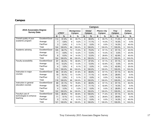# **Campus**

|                                              |                |                |               |                                    |        |                | Campus:                 |                                     |        |                              |        |                                |        |
|----------------------------------------------|----------------|----------------|---------------|------------------------------------|--------|----------------|-------------------------|-------------------------------------|--------|------------------------------|--------|--------------------------------|--------|
| 2015 Associates Degree<br><b>Survey Data</b> |                | eTROY          |               | <b>Montgomery</b><br><b>Campus</b> |        |                | Global<br><b>Campus</b> | <b>Phenix City</b><br><b>Campus</b> |        | <b>Troy</b><br><b>Campus</b> |        | <b>Dothan</b><br><b>Campus</b> |        |
|                                              |                | N              | $\frac{0}{0}$ | N                                  | $\%$   | N              | $\frac{9}{6}$           | N                                   | %      | N                            | $\%$   | N                              | %      |
| Overall quality of your                      | Excellent/Good | 114            | 91.9%         | 84                                 | 85.7%  | 8              | 88.9%                   | 6                                   | 85.7%  | 5                            | 71.4%  | 3                              | 60.0%  |
| academic program                             | Average        | $\overline{7}$ | 5.6%          | 9                                  | 9.2%   | $\mathbf 1$    | 11.1%                   | 1                                   | 14.3%  | $\mathbf{1}$                 | 14.3%  | $\mathbf{0}$                   | 0.0%   |
|                                              | Fair/Poor      | 3              | 2.4%          | 5                                  | 5.1%   | $\Omega$       | 0.0%                    | $\Omega$                            | 0.0%   | $\mathbf{1}$                 | 14.3%  | 2                              | 40.0%  |
|                                              | Total          | 124            | 100.0%        | 98                                 | 100.0% | 9              | 100.0%                  | $\overline{7}$                      | 100.0% | $\overline{7}$               | 100.0% | 5                              | 100.0% |
| Academic advising                            | Excellent/Good | 105            | 84.7%         | 72                                 | 73.5%  | 6              | 75.0%                   | 4                                   | 57.1%  | $\overline{4}$               | 57.1%  | $\overline{2}$                 | 40.0%  |
|                                              | Average        | 11             | 8.9%          | 12                                 | 12.2%  | $\mathbf{1}$   | 12.5%                   | 1                                   | 14.3%  | $\Omega$                     | 0.0%   | $\mathbf{1}$                   | 20.0%  |
|                                              | Fair/Poor      | 8              | 6.5%          | 14                                 | 14.3%  | $\mathbf{1}$   | 12.5%                   | $\overline{2}$                      | 28.6%  | 3                            | 42.9%  | $\overline{2}$                 | 40.0%  |
|                                              | Total          | 124            | 100.0%        | 98                                 | 100.0% | 8              | 100.0%                  | 7                                   | 100.0% | 7                            | 100.0% | 5                              | 100.0% |
| Faculty accessibility                        | Excellent/Good | 97             | 84.3%         | 79                                 | 80.6%  | $\overline{7}$ | 87.5%                   | 4                                   | 57.1%  | $\overline{4}$               | 57.1%  | 3                              | 60.0%  |
|                                              | Average        | 14             | 12.2%         | 13                                 | 13.3%  | $\mathbf{1}$   | 12.5%                   | 3                                   | 42.9%  | $\Omega$                     | 0.0%   | 1                              | 20.0%  |
|                                              | Fair/Poor      | 4              | 3.5%          | 6                                  | 6.1%   | $\Omega$       | 0.0%                    | 0                                   | 0.0%   | 3                            | 42.9%  | $\mathbf{1}$                   | 20.0%  |
|                                              | Total          | 115            | 100.0%        | 98                                 | 100.0% | 8              | 100.0%                  | $\overline{7}$                      | 100.0% | $\overline{7}$               | 100.0% | 5                              | 100.0% |
| Instruction in major                         | Excellent/Good | 96             | 81.4%         | 80                                 | 81.6%  | 8              | 88.9%                   | 4                                   | 57.1%  | 4                            | 57.1%  | 4                              | 80.0%  |
| courses                                      | Average        | 19             | 16.1%         | 13                                 | 13.3%  | $\mathbf{1}$   | 11.1%                   | 3                                   | 42.9%  | $\overline{2}$               | 28.6%  | $\mathbf{0}$                   | 0.0%   |
|                                              | Fair/Poor      | 3              | 2.5%          | 5                                  | 5.1%   | $\Omega$       | 0.0%                    | $\Omega$                            | 0.0%   | $\mathbf{1}$                 | 14.3%  | 1                              | 20.0%  |
|                                              | Total          | 118            | 100.0%        | 98                                 | 100.0% | 9              | 100.0%                  | $\overline{7}$                      | 100.0% | $\overline{7}$               | 100.0% | 5                              | 100.0% |
| Instruction in general                       | Excellent/Good | 99             | 81.1%         | 72                                 | 76.6%  | 8              | 88.9%                   | 4                                   | 57.1%  | $\overline{4}$               | 57.1%  | 3                              | 60.0%  |
| education courses                            | Average        | 19             | 15.6%         | 19                                 | 20.2%  | $\mathbf{1}$   | 11.1%                   | 3                                   | 42.9%  | 1                            | 14.3%  | 0                              | 0.0%   |
|                                              | Fair/Poor      | 4              | 3.3%          | 3                                  | 3.2%   | $\mathbf{0}$   | 0.0%                    | 0                                   | 0.0%   | $\overline{2}$               | 28.6%  | $\overline{2}$                 | 40.0%  |
|                                              | Total          | 122            | 100.0%        | 94                                 | 100.0% | 9              | 100.0%                  | 7                                   | 100.0% | $\overline{7}$               | 100.0% | 5                              | 100.0% |
| Faculty's use of                             | Excellent/Good | 105            | 86.8%         | 79                                 | 80.6%  | 8              | 100.0%                  | 5                                   | 71.4%  | $\overline{4}$               | 57.1%  | 3                              | 60.0%  |
| technologies to enhance                      | Average        | 11             | 9.1%          | 13                                 | 13.3%  | 0              | 0.0%                    | $\overline{2}$                      | 28.6%  | $\overline{2}$               | 28.6%  | $\mathbf{0}$                   | 0.0%   |
| teaching                                     | Fair/Poor      | 5              | 4.1%          | 6                                  | 6.1%   | $\Omega$       | 0.0%                    | 0                                   | 0.0%   | 1                            | 14.3%  | $\overline{2}$                 | 40.0%  |
|                                              | Total          | 121            | 100.0%        | 98                                 | 100.0% | 8              | 100.0%                  | $\overline{7}$                      | 100.0% | $\overline{7}$               | 100.0% | 5                              | 100.0% |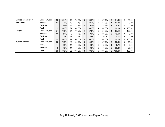| Course availability in  | Excellent/Good | 98  | 82.4%  | 73 | 75.3%  | 6        | 66.7%   | 4 | 57.1%   | 5              | 71.4%  | $\overline{2}$ | 40.0%   |
|-------------------------|----------------|-----|--------|----|--------|----------|---------|---|---------|----------------|--------|----------------|---------|
| your major              | Average        | 14  | 11.8%  | 13 | 13.4%  | 3        | 33.3%   |   | 14.3%   |                | 14.3%  |                | 20.0%   |
|                         | Fair/Poor      |     | 5.9%   | 11 | 11.3%  | 0        | $0.0\%$ | 2 | 28.6%   |                | 14.3%  | $\overline{2}$ | 40.0%   |
|                         | Total          | 119 | 100.0% | 97 | 100.0% | 9        | 100.0%  | 7 | 100.0%  | 7              | 100.0% | 5              | 100.0%  |
| Library                 | Excellent/Good | 71  | 79.8%  | 71 | 77.2%  | 7        | 87.5%   | 3 | 50.0%   | 4              | 57.1%  | 4              | 100.0%  |
|                         | Average        | 11  | 12.4%  | 8  | 8.7%   | 0        | $0.0\%$ | 3 | 50.0%   | 3              | 42.9%  | 0              | $0.0\%$ |
|                         | Fair/Poor      |     | 7.9%   | 13 | 14.1%  | и        | 12.5%   | 0 | 0.0%    | 0              | 0.0%   | 0              | $0.0\%$ |
|                         | Total          | 89  | 100.0% | 92 | 100.0% | 8        | 100.0%  | 6 | 100.0%  | 7              | 100.0% | 4              | 100.0%  |
| <b>Tutorial support</b> | Excellent/Good | 60  | 72.3%  | 43 | 66.2%  | 8        | 100.0%  | 4 | 57.1%   | 3              | 50.0%  | 3              | 75.0%   |
|                         | Average        | 14  | 16.9%  | 11 | 16.9%  | $\Omega$ | $0.0\%$ | 3 | 42.9%   | 1              | 16.7%  | 0              | $0.0\%$ |
|                         | Fair/Poor      | 9   | 10.8%  | 11 | 16.9%  | 0        | $0.0\%$ | 0 | $0.0\%$ | $\overline{2}$ | 33.3%  |                | 25.0%   |
|                         | Total          | 83  | 100.0% | 65 | 100.0% | 8        | 100.0%  | 7 | 100.0%  | 6              | 100.0% | 4              | 100.0%  |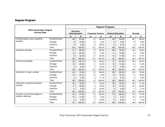# **Degree Program**

|                                              |                |                                          |               | Degree Program: |                         |    |                          |                |        |  |
|----------------------------------------------|----------------|------------------------------------------|---------------|-----------------|-------------------------|----|--------------------------|----------------|--------|--|
| 2015 Associates Degree<br><b>Survey Data</b> |                | <b>Business</b><br><b>Administration</b> |               |                 | <b>Computer Science</b> |    | <b>General Education</b> | <b>Nursing</b> |        |  |
|                                              |                | N                                        | $\frac{0}{0}$ | N               | %                       | N  | %                        | $\mathbf N$    | $\%$   |  |
| Overall quality of your academic             | Excellent/Good | 48                                       | 81.4%         | 8               | 80.0%                   | 80 | 90.9%                    | 60             | 88.2%  |  |
| program                                      | Average        | 9                                        | 15.3%         | 0               | 0.0%                    | 3  | 3.4%                     | 6              | 8.8%   |  |
|                                              | Fair/Poor      | $\overline{2}$                           | 3.4%          | $\overline{2}$  | 20.0%                   | 5  | 5.7%                     | 2              | 2.9%   |  |
|                                              | Total          | 59                                       | 100.0%        | 10              | 100.0%                  | 88 | 100.0%                   | 68             | 100.0% |  |
| Academic advising                            | Excellent/Good | 41                                       | 69.5%         | 8               | 80.0%                   | 66 | 75.9%                    | 54             | 79.4%  |  |
|                                              | Average        | 12                                       | 20.3%         | 0               | $0.0\%$                 | 11 | 12.6%                    | 4              | 5.9%   |  |
|                                              | Fair/Poor      | 6                                        | 10.2%         | $\overline{2}$  | 20.0%                   | 10 | 11.5%                    | 10             | 14.7%  |  |
|                                              | Total          | 59                                       | 100.0%        | 10              | 100.0%                  | 87 | 100.0%                   | 68             | 100.0% |  |
| Faculty accessibility                        | Excellent/Good | 38                                       | 69.1%         | 8               | 80.0%                   | 70 | 81.4%                    | 56             | 82.4%  |  |
|                                              | Average        | 14                                       | 25.5%         |                 | 10.0%                   | 10 | 11.6%                    | 8              | 11.8%  |  |
|                                              | Fair/Poor      | 3                                        | 5.5%          |                 | 10.0%                   | 6  | 7.0%                     | 4              | 5.9%   |  |
|                                              | Total          | 55                                       | 100.0%        | 10              | 100.0%                  | 86 | 100.0%                   | 68             | 100.0% |  |
| Instruction in major courses                 | Excellent/Good | 42                                       | 72.4%         | 8               | 88.9%                   | 69 | 80.2%                    | 54             | 79.4%  |  |
|                                              | Average        | 14                                       | 24.1%         | 0               | 0.0%                    | 13 | 15.1%                    | 11             | 16.2%  |  |
|                                              | Fair/Poor      | $\overline{2}$                           | 3.4%          | $\mathbf{1}$    | 11.1%                   | 4  | 4.7%                     | 3              | 4.4%   |  |
|                                              | Total          | 58                                       | 100.0%        | 9               | 100.0%                  | 86 | 100.0%                   | 68             | 100.0% |  |
| Instruction in general education             | Excellent/Good | 44                                       | 75.9%         | $\overline{7}$  | 70.0%                   | 69 | 79.3%                    | 46             | 71.9%  |  |
| courses                                      | Average        | 11                                       | 19.0%         |                 | 10.0%                   | 15 | 17.2%                    | 16             | 25.0%  |  |
|                                              | Fair/Poor      | 3                                        | 5.2%          | $\overline{2}$  | 20.0%                   | 3  | 3.4%                     | $\overline{2}$ | 3.1%   |  |
|                                              | Total          | 58                                       | 100.0%        | 10              | 100.0%                  | 87 | 100.0%                   | 64             | 100.0% |  |
| Faculty's use of technologies to             | Excellent/Good | 44                                       | 77.2%         | 9               | 90.0%                   | 74 | 86.0%                    | 53             | 77.9%  |  |
| enhance teaching                             | Average        | 10                                       | 17.5%         | 0               | 0.0%                    | 7  | 8.1%                     | 10             | 14.7%  |  |
|                                              | Fair/Poor      | 3                                        | 5.3%          |                 | 10.0%                   | 5  | 5.8%                     | 5              | 7.4%   |  |
|                                              | Total          | 57                                       | 100.0%        | 10              | 100.0%                  | 86 | 100.0%                   | 68             | 100.0% |  |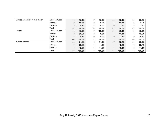| Course availability in your major | Excellent/Good | 43             | 75.4%  |    | 70.0%   | 63              | 72.4%  | 56 | 83.6%   |
|-----------------------------------|----------------|----------------|--------|----|---------|-----------------|--------|----|---------|
|                                   | Average        | 9              | 15.8%  | 0  | $0.0\%$ | 14              | 16.1%  | 6  | $9.0\%$ |
|                                   | Fair/Poor      | 5              | 8.8%   | 3  | 30.0%   | 10 <sup>°</sup> | 11.5%  | 5  | 7.5%    |
|                                   | Total          | 57             | 100.0% | 10 | 100.0%  | 87              | 100.0% | 67 | 100.0%  |
| Library                           | Excellent/Good | 33             | 75.0%  |    | 100.0%  | 55              | 76.4%  | 48 | 75.0%   |
|                                   | Average        | 9              | 20.5%  | 0  | $0.0\%$ | 8               | 11.1%  | ⇁  | 10.9%   |
|                                   | Fair/Poor      | $\overline{2}$ | 4.5%   | 0  | $0.0\%$ | 9               | 12.5%  | 9  | 14.1%   |
|                                   | Total          | 44             | 100.0% |    | 100.0%  | 72              | 100.0% | 64 | 100.0%  |
| Tutorial support                  | Excellent/Good | 25             | 64.1%  | 5  | 71.4%   | 47              | 72.3%  | 29 | 65.9%   |
|                                   | Average        | 9              | 23.1%  |    | 14.3%   | 8               | 12.3%  | 10 | 22.7%   |
|                                   | Fair/Poor      | 5              | 12.8%  |    | 14.3%   | 10 <sup>°</sup> | 15.4%  | 5  | 11.4%   |
|                                   | Total          | 39             | 100.0% |    | 100.0%  | 65              | 100.0% | 44 | 100.0%  |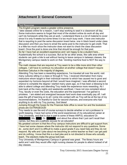# **Attachment 3: General Comments**

Text Response

The English program needs a greater online presence.

i take classes online for a reason, i can't stop working to seat in a classroom all day. Some instructors seems to forget that most of the student online do work all day and can't do homework while they are at work. I understand there is a lot of material to cover since it is only 9 weeks but some times it is too much busy work. I have one instructor that is requiring to post the same discussion board twice. one in black board under class discussion and then you have to email the same post to the instructor to get credit. That is a little too much since the instructor does not want to check the class discussion board. Once the post is done one time that should be enough for that post.

So far I have had an excellent experience and I am happy to be a student here... Academically the school is a success. But as far as other areas, like cafe area where students can grab a bite to eat without having to leave campus in between classes, the Montgomery campus needs to work on that. Vending machine food is NOT the way to go.

The math classes that are required at Troy seem to be a little more strict than other colleges. I will have to continue my education at another college that doesn't require Business Calculus in the majority of degrees.

Attending Troy has been a rewarding experience, I've traveled all over the world, visit many cultures sitting in a class or through E Troy. I received information from many instructors whom taught in their individual manner to which has caused me to grow and expanded my horizons beyond all that I would have imagined. I was afforded a second chance to complete the degree I started many years ago, so it has been a blessing to be able to attend college and attending Troy made the experience more rewarding. As I look back at the many nights and weekends sacrificed, I have not one complaint about Troy, faculty or even the costs, the education and the experienced I've gained is priceless. I am elated and energized because hard work does eventually pay off. I will pass the gift of learning on to all I come into contact with as Troy will be at the top of my recommendations. I'm thankful to God for second chances, and everyone who had anything to do with my Troy journey. God bless!

Jumping through the hoops for the Financial Aide office is never fun and the bookstore prices are OUTRAGEOUS!

Troy needs to use the end of course surveys to decide whether or not a professor is worth keeping. I have had some of the worst experiences of my educational career at Troy University, and that is due in part to some of these AWFUL educators! Dr.

Ms.  $\blacksquare$  Dr.  $\blacksquare$ , and about five others that I just can't recall their names, but they are a pathetic excuse for an educator!

My greatest concern is that the eTroy campus instructors are difficult to get support from. I have had some classes where the instructor did not respond to any questions. Some do , some don't and it is difficult to make a good grade if you need help and they do not respond. My wife and I joke about me becoming an online teacher so that I can get paid and do nothing. I know that this is a bad joke and is not directed to those who actually teach. The slackers make the group look bad.

Troy University of Montgomery Campus in general was great. The library hours are awful and I wish they would offer night nursing classes for people to attend instead of all day classes.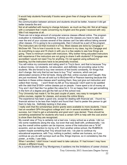It would help students financially if books were given free of charge like some other colleges.

the communication between advisors and students should be better, however it did get better towards the end

Not at all satisfied with having to change Advisers as much as they did. Not at all happy with a complaint that I made concerning my English and the grade I received with very little if not response at all.

There are not a large amount of computer science classes offered online. The program evaluation is misleading; considering, it shows you the classes you have to take, but near the end of your courses several of the classes can't be take without taking several other classes. If it is going to be a prerequisite, then it should be a part of the program The instructors are not that involved in eTroy. Most classes are done by Cengage or McGraw Hill. This is how it sounds to me... Welcome to my class, log into Cengage and do everything is says and I'll check in with you in a few weeks to see how things are going. There is minimum contact with instructors. Why bother hiring educated instructors with experience if the instructors are not going to share it with students? If Cengage was accredited I would not need Troy for anything. I'm not against using software for teaching, but the instructors have to be personally involved.

You will notice my comments and rating aren't in Troy's favor, and that is because Troy is about money, not students, not education, and definitely not providing value to the students. We are forced to buy new versions of text books constantly, for things that don't change. Not only that but we have to buy "Troy" versions, which are just abbreviated versions of the full texts. Along with that, online courses aren't taught, they are just monitored. We are all sold out to McGraw-Hill or Pearson learning because the teachers in these online classes aren't working them, they just give out instruction and collect their money. I won't finish my BA at Troy because I don't want to be saddled with the debt that \$1000+ online classes put on people. I have spent a lot of money at Troy and I don't feel like I've gotten the value for it. I'm so happy that I can get something in the form of a degree and get the hell out of this school now.

Troy University has made it, for the past couple of years, very easy to navigate the online courses, register for classes, and access the online library.

The experience has been a good one, except for dealing with financial aid. I found my financial advisor to be less than helpful and found that I had to pester this person to get them to help me. Definitely lacking in that area.

I really wish that the scholarships and/or grants were available to more students. I have had an excellent GPA throughout college and I am in several societies for academic success, but I tried to get a scholarship and grant and I was denied. There should be something established for students who have a certain GPA to help with the cost and/or to show them that they are recognized.

My overall view of Troy is certainly not a bad one. I enjoy school as a whole. I did run into some roadblocks along the way, but even that was dealt with, professionally. I do say the overall online system can be improve, some of the instructors are a "lil bit" eccentric, and as mention to me by a Dr. from another online school, the RUBRICS system maybe something that Troy should look into. I do plan to continue my educational experience, with Troy; nothing is perfect, neither are humans, so if you continue as you do with surveys such as this, things improve, so in consistency lies the power...a motto, I use daily.

When I enrolled, I didn't know I would need to take calculus. If I had known I may have chosen a different house.

As a current Student at Troy Montgomery it saddens me the limitations of career choices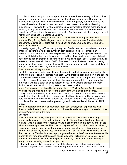provided to me at this particular campus. Student should have a variety of time choices regarding courses and more lectures that meet each particular major. How can we choose a career path when we are so limited. Troy Montgomery does not offered the courses I need and the lack of teachers and courses does not satisfy my learning experience. However, If Troy Montgomery University starts to offered more traditional classes, variety of schedules and more instructors to teach them, it becomes more beneficial to Troy's students. We need options! Furthermore, until this changes occur I will take my business to another University...

I attending two other colleges before Troy. If I could do all over again I would have attended Etroy for my first college experience. It has been a breeze from financial aid , transcripts, registering for class ect . it was been an awesome experience. The Etroy format is awesome!!

I honestly regret going to Troy Montgomery. An English teacher couldn't even produce grades or papers that had been turned in from students in class. I emailed an Economics teacher and explained the problems I was having, during class he went over some, but I didn't get my question answered and he left when class was over, I didn't have time to get his attention. Too much talk in his class about beer. Ended up having to take this class again in the fall 2015. Business Communications - he talked mainly about his book writings. I thought I would literally implode going to his class each time. I feel as if I have WASTED my money and my time.

Free books for military students!

I wish the instructors online would teach the material so that we can understand a little more. We have to read 3 chapters with about 300 hundred pages and then in the second or third week take the test that is a lot of material to learn in a short period of time and you also have another class test to take in that same week with the same amount of material. If we had a study guide to at least let you know what to expect on the test I think more students would probably take more classes online.

More Business courses should be offered at the TROY site in Sumter South Carolina. I would like to experience the classroom at some time while getting my degree.

I really hate that the library is not open like it use to be. the hours are cut short and we have to find other places to find resources for. the library is a second home to me . and i hate the way the hours are now. student are attending less and less because of the complicated hours. I have no other place to go and i hate to drive all the way to AUM to study.

While I understand the cost of education, from past employment experiences with financial aide, I have to admit that the cost of attendance is very high compared to other colleges/universities in the area.

Excellent!

My Comments are mostly on my Financial Aid. I received my financial aid in troy for about two times and all of a sudden i went back to Financial aid office for my financial aid and i was told that i cannot receive financial aid anymore in this school, and i asked why the answer i got was that i had my first degree before, but when i enrolled with troy i was receiving my financial aid. I now asked another question can i be receiving any kind of loan to foot my school fees and they said no. I do not know why it has to go like that. I am still in Troy but i am not happy anymore because the Government gives us this money to pay for our school fees and books but school will not allow us use or lay our hands on the money. Right now i am paying out of my pocket and i am not finding it funny, i am not working atleast to support me.

I attended the main Troy campus immediately following high school and earned a bachelor's degree. Later I enrolled at the Montgomery campus to purse an associates in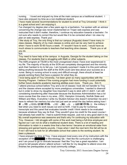nursing. I loved and enjoyed my time at the main campus as a traditional student. I have also enjoyed my time as a non-traditional student.

I have made several recommendations for student to enroll at Troy University! I think it is a great school and I am enjoying it.

I've changed my degree plan a few years ago to a bachelors. I've spoken with an advisor concerning the change was never implemented on Trojan web express and was instructed that it didn't matter; therefore, I continue my education towards a bachelor. I'm not sure who needs to correct this but would like it to be corrected when I do view my plan on web express. Thank you!

I like study at Troy, the only thing is that our campus (Augusta) doesn't have many inclass classes. Majority of my main classes is online and can be very hard to achieve when I have to work 50-60 hours a week. If I wouldn't have to work, I would have as much stress to communicate to teachers that teaching oline classes. Thank you or all you do.

N/A

Troy need to have help at the campus in Augusta, Georgia for the student taking on line classes. For students that is struggling with Math or other subjects.

The ASN program at TSUM is the most unorganized chaos I have ever experienced in my life. The majority of faculty at the SON are completely disorganized and the minority work their hardest to try to fail you. I am honestly surprised I made it to this point without failing anything because the staff at the SON could care less about your success as a nurse. Being in nursing school is scary and difficult enough, there should at least be people working there that have a passion for what they do.

I love being apart of Troy University, I've been given so many opportunities with the Nursing Program. I believe if the nursing program had more funding it could potentially further future students academic learning abilities even more. Thank you. Kim H. I attend previous school before Troy and a lot of classes I took did not transfer to Troy and the classes where accepted by more prestigious universities. I wanted to disenroll but in order to show my daughter how important it was to stick with it I didn't. I am still considering transferring after Associate because the Business Administration has a lot more course than the ones in my area...ODU, Hampton University, Norfolk State and William and Mary. Everytime I write my Student Advisor she doesn't remember me and I have to refresh her memory but she had just sent an email the day before asking how I 廊 ᘆ깨怪 ᘚᙊ ᙊ 䍨卶䌀 伀儀帀愀 ŊŊŊ ᘆ䍨卶 ᘆ湨蝩 ᘆ婨 ᘖ ᙊ 婨伀儀帀愀 ŊŊŊ 䀀 the military I feel when you need to work issues out and so forth. I had to pay for numerous transcripts and this panel that evaluates transfer credit I think needs to be evaluated because whatever they say its final. They wouldn't give me credit for the exact course I had already had credit for. I had to submit three request. Just not a very good start in my My overall experience was awesome and that's why I'm continuing my education with Troy. However, I did struggle with some of the work load being a full-time employee and figured out I can not do what a traditional student does. There is a lot of reading and information to retain in a weeks time that a few terms I became an emotional eater from stressing and gained twenty pounds. I hope when I start the next term this fall will be ok if not I will have to look for an affordable school that caters to the working student. Its been a pleasure.

I have enjoyed my time at Troy. I have enjoyed most every one of my instructors with the exception of Ms. Chestnut in Microbiology lab. I feel like the curriculum is challenging and I am proud to go to clinicals because I feel like Troy has a great reputation. I am proud to tell people where I attend school. I will like for my daughter to attend once she finishes her prerequisites at our local community college.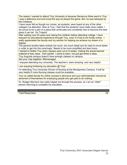The reason I wanted to attend Troy University is because Demarcus Ware went to Troy. I was a defensive end and loved the way he played the game. But, he was betrayed by the Cowboys.

I have never felt as though our voices, as students, were heard at any of the other colleges I've attended. Here at Troy, I feel that the students' input really does matter. I am proud to be a part of a place that continually and constantly tries to become the best place it can be! Go Trojans!

After waiting over 40 years and raising five children before attending college, I have enjoyed my educational experience through Troy, even if it had to be mostly online. I really appreciated the faculty and my advisor for helping me achieve my dream of a degree.

The general studies takes entirely too much, too much detail and its need to move faster in order to get into the core/major. Needs to be more simplified and less hours.

I started to dislike Troy when classes were cut to 9 weeks, making the actual learned material of less value. Felt rushed! I came to learn, not just get threw a class.

Troy Augusta campus doesn't have enough classes on campus.

Get your crap together. Mismanaged.

I enjoyed attending troy university. The teacher's were amazing and very helpful.

I am enjoying furthering my education @ Troy!

I'm attending Troy University School of Nursing at the Montgomery Campus. It will be very helpful if more Nursing classes could be available...

Your so called faculty for online courses is atrocious and your administration should be ashamed of themselves for employing people who get paid to do nothing.

Dr. Rodger Morrison has really helped me through the process, as I am an "older" person returning to complete my education.

**Total Responses 54**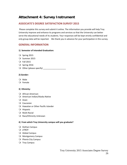# **Attachment 4: Survey Instrument**

## **ASSOCIATE'S DEGREE SATISFACTION SURVEY 2015**

Please complete this survey and submit it online. The information you provide will help Troy University improve and enhance its programs and services so that the University can better serve the educational needs of its students. Your responses will be kept strictly confidential and only group data will be reported. We thank you in advance for your participation in this survey.

## **GENERAL INFORMATION**

## **1) Semester of Intended Graduation:**

- $\overline{O}$  Spring 2015
- O Summer 2015
- Fall 2015
- O Spring 2016
- O Other (please specify)

## **2) Gender:**

- Male
- Female

#### **3) Ethnicity:**

- African American
- American Indian/Alaska Native
- $Q$  Asian
- Q Caucasian
- Hawaiian or Other Pacific Islander
- Hispanic
- Multi‐Racial
- O Race/Ethnicity Unknown

#### **4) From which Troy University campus will you graduate?**

- O Dothan Campus
- O eTROY
- O Global Campus
- O Montgomery Campus
- O Phenix City Campus
- O Troy Campus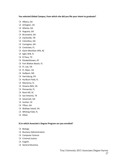## **You selected Global Campus, from which site did you file your intent to graduate?**

- Albany, GA
- Arlington, VA
- Atlanta, GA
- Augusta, GA
- O Brunswick, GA
- Clarksville, TN
- Q Columbus, GA
- O Covington, GA
- Crestview, FL
- Davis‐Monthan AFB, AZ
- Eglin AFB, FL
- El Paso, TX
- Q Elizabethtown, KY
- Fort Walton Beach, FL
- Ft. Lee, VA
- Ft. Myer, VA
- Gulfport, MS
- Harrisburg, PA
- Hurlburt Field, FL
- Marianna, FL
- O Oceana NAS, VA
- O Pensacola, FL
- O Rock Hill, SC
- O San Antonio, TX
- O Savannah, GA
- O Sumter, SC
- O Tifton, GA
- Wallops Island, VA
- Whiting Field, FL
- O Other

## **5) In which Associate's Degree Program are you enrolled?**

- O Biology
- **Q** Business Administration
- O Computer Science
- Criminal Justice
- Q English
- General Business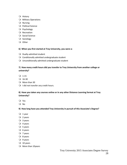- Q History
- **O** Military Operations
- Nursing
- **O** Political Science
- Q Psychology
- Q Recreation
- **O** Social Science
- O Sociology
- O Other

## **6) When you first started at Troy University, you were a:**

- O Dually-admitted student
- $\bigcirc$  Conditionally admitted undergraduate student
- Unconditionally admitted undergraduate student

## **7) How many credit hours did you transfer to Troy University from another college or university?**

- $Q$  1-15
- $Q$  16-30
- O More than 30
- $\bigcirc$  I did not transfer any credit hours.

## **8) Have you taken any courses online or in any other Distance Learning format at Troy University?**

- Yes
- No

## **9) How long have you attended Troy University in pursuit of this Associate's Degree?**

- $Q_1$  year
- $Q$  2 years
- 3 years
- $Q$  4 years
- $O$  5 years
- $\overline{O}$  6 years
- $Q$  7 years
- O 8 years
- 9 years
- $Q$  10 years
- O More than 10years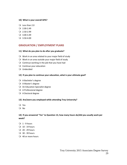#### **10) What is your overall GPA?**

- Less than 2.0
- $Q$  2.00-2.49
- $Q$  2.50-2.99
- $Q$  3.00-3.49
- $Q$  3.50-4.00

## **GRADUATION / EMPLOYMENT PLANS**

#### **11) What do you plan to do after you graduate?**

- Work in an area related to your major field of study
- $\bigcirc$  Work in an area outside your major field of study
- $\bigcirc$  Continue working in the job that you have had
- O Continue your education
- Undecided

#### **12) If you plan to continue your education, what is your ultimate goal?**

- A Bachelor's degree
- A Master's degree
- An Education Specialist degree
- A Professional degree
- O A Doctoral degree

#### **13) Are/were you employed while attending Troy University?**

- Yes
- O No

## **14) If you answered "Yes" to Question 13, how many hours do/did you usually work per week?**

- $Q_1 9$  hours
- $Q$  10 19 hours
- $Q$  20 29 hours
- 30 ‐ 39 hours
- 40 or more hours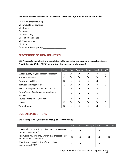- **15) What financial aid have you received at Troy University? (Choose as many as apply)**
- $\Box$  Scholarship/fellowship
- $\Box$  Graduate assistantship
- **Q** Grants
- **Loans**
- **Q** Work study
- $\Box$  Tuition assistance
- $\Box$  Third party pay
- **Q** None
- Other (please specify) \_\_\_\_\_\_\_\_\_\_\_\_\_\_\_\_\_\_\_\_

## **PERCEPTIONS OF TROY UNIVERSITY**

**16) Please rate the following areas related to the education and academic support services at Troy University: (Select "N/A" for any item that does not apply to you.)**

|                                                      | Poor     | Fair | Average  | Good     | Excellent | N/A      |
|------------------------------------------------------|----------|------|----------|----------|-----------|----------|
| Overall quality of your academic program             | O        | O    | ∩        | ∩        | ∩         | $\Omega$ |
| Academic advising                                    | $\Omega$ | ∩    | ∩        | ∩        | ∩         |          |
| Faculty accessibility                                | Q        | ∩    | $\Omega$ | ∩        | ∩         |          |
| Instruction in major courses                         | Q        | ∩    | ∩        | ∩        | ∩         |          |
| Instruction in general education courses             | $\Omega$ | ∩    | ∩        | ∩        | ∩         |          |
| Faculty's use of technologies to enhance<br>teaching | $\Omega$ | ∩    | ∩        | ∩        | ∩         |          |
| Course availability in your major                    | $\Omega$ | ∩    | ∩        | $\Omega$ | ∩         |          |
| Library                                              | $\Omega$ | ∩    | ∩        | ∩        | ∩         |          |
| <b>Tutorial support</b>                              | $\Omega$ | 0    |          |          |           |          |

## **OVERALL PERCEPTIONS**

## **17) Please provide your overall ratings of Troy University:**

|                                                                                   | Poor | <b>Fair</b> | Average | Good | Excellent |
|-----------------------------------------------------------------------------------|------|-------------|---------|------|-----------|
| How would you rate Troy University's preparation of<br>you for employment?        |      |             |         |      |           |
| How would you rate Troy University's preparation of<br>you for further education? | Q    |             |         |      |           |
| What is your overall rating of your college<br>experiences at TROY?               |      |             |         |      |           |

Troy University 2015 Associates Degree Survey